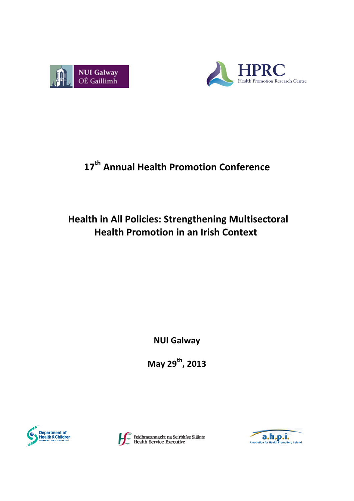



# **17th Annual Health Promotion Conference**

## **Health in All Policies: Strengthening Multisectoral Health Promotion in an Irish Context**

**NUI Galway**

**May 29th, 2013**





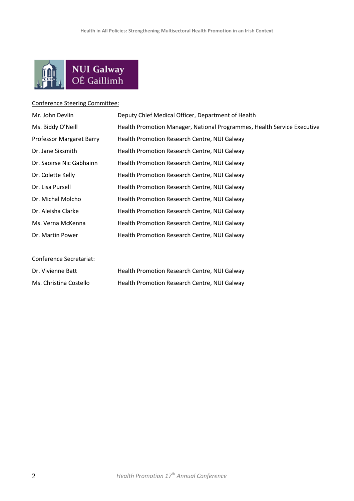

### Conference Steering Committee:

| Mr. John Devlin                 | Deputy Chief Medical Officer, Department of Health                      |
|---------------------------------|-------------------------------------------------------------------------|
| Ms. Biddy O'Neill               | Health Promotion Manager, National Programmes, Health Service Executive |
| <b>Professor Margaret Barry</b> | Health Promotion Research Centre, NUI Galway                            |
| Dr. Jane Sixsmith               | Health Promotion Research Centre, NUI Galway                            |
| Dr. Saoirse Nic Gabhainn        | Health Promotion Research Centre, NUI Galway                            |
| Dr. Colette Kelly               | Health Promotion Research Centre, NUI Galway                            |
| Dr. Lisa Pursell                | Health Promotion Research Centre, NUI Galway                            |
| Dr. Michal Molcho               | Health Promotion Research Centre, NUI Galway                            |
| Dr. Aleisha Clarke              | Health Promotion Research Centre, NUI Galway                            |
| Ms. Verna McKenna               | Health Promotion Research Centre, NUI Galway                            |
| Dr. Martin Power                | Health Promotion Research Centre, NUI Galway                            |
|                                 |                                                                         |

#### Conference Secretariat:

| Dr. Vivienne Batt      | Health Promotion Research Centre, NUI Galway |
|------------------------|----------------------------------------------|
| Ms. Christina Costello | Health Promotion Research Centre, NUI Galway |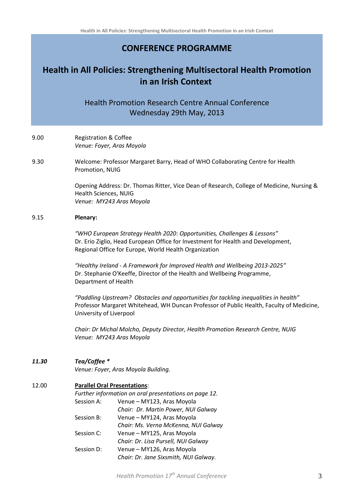### **CONFERENCE PROGRAMME**

### **Health in All Policies: Strengthening Multisectoral Health Promotion in an Irish Context**

### Health Promotion Research Centre Annual Conference Wednesday 29th May, 2013

### 9.00 Registration & Coffee

*Venue: Foyer, Aras Moyola*

### 9.30 Welcome: Professor Margaret Barry, Head of WHO Collaborating Centre for Health Promotion, NUIG

Opening Address: Dr. Thomas Ritter, Vice Dean of Research, College of Medicine, Nursing & Health Sciences, NUIG *Venue: MY243 Aras Moyola*

### 9.15 **Plenary:**

*"WHO European Strategy Health 2020: Opportunities, Challenges & Lessons"* Dr. Erio Ziglio, Head European Office for Investment for Health and Development, Regional Office for Europe, World Health Organization

*"Healthy Ireland - A Framework for Improved Health and Wellbeing 2013-2025"* Dr. Stephanie O'Keeffe, Director of the Health and Wellbeing Programme, Department of Health

*"Paddling Upstream? Obstacles and opportunities for tackling inequalities in health"* Professor Margaret Whitehead, WH Duncan Professor of Public Health, Faculty of Medicine, University of Liverpool

*Chair: Dr Michal Molcho, Deputy Director, Health Promotion Research Centre, NUIG Venue: MY243 Aras Moyola*

### *11.30 Tea/Coffee \**

*Venue: Foyer, Aras Moyola Building.*

### 12.00 **Parallel Oral Presentations**:

|            | Further information on oral presentations on page 12. |
|------------|-------------------------------------------------------|
| Session A: | Venue - MY123, Aras Moyola                            |
|            | Chair: Dr. Martin Power, NUI Galway                   |
| Session B: | Venue - MY124, Aras Moyola                            |
|            | Chair: Ms. Verna McKenna, NUI Galway                  |
| Session C: | Venue - MY125, Aras Moyola                            |
|            | Chair: Dr. Lisa Pursell, NUI Galway                   |
| Session D: | Venue - MY126, Aras Moyola                            |
|            | Chair: Dr. Jane Sixsmith, NUI Galway.                 |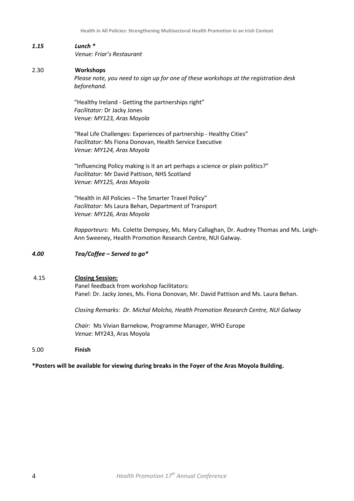**Health in All Policies: Strengthening Multisectoral Health Promotion in an Irish Context**

#### *1.15 Lunch \**

*Venue: Friar's Restaurant*

#### 2.30 **Workshops**

*Please note, you need to sign up for one of these workshops at the registration desk beforehand.*

"Healthy Ireland - Getting the partnerships right" *Facilitator:* Dr Jacky Jones *Venue: MY123, Aras Moyola*

"Real Life Challenges: Experiences of partnership - Healthy Cities" *Facilitator:* Ms Fiona Donovan, Health Service Executive *Venue: MY124, Aras Moyola*

"Influencing Policy making is it an art perhaps a science or plain politics?" *Facilitator:* Mr David Pattison, NHS Scotland *Venue: MY125, Aras Moyola*

"Health in All Policies – The Smarter Travel Policy" *Facilitator:* Ms Laura Behan, Department of Transport *Venue: MY126, Aras Moyola*

*Rapporteurs:* Ms. Colette Dempsey, Ms. Mary Callaghan, Dr. Audrey Thomas and Ms. Leigh-Ann Sweeney, Health Promotion Research Centre, NUI Galway.

#### *4.00 Tea/Coffee – Served to go\**

#### 4.15 **Closing Session:**

Panel feedback from workshop facilitators: Panel: Dr. Jacky Jones, Ms. Fiona Donovan, Mr. David Pattison and Ms. Laura Behan.

*Closing Remarks: Dr. Michal Molcho, Health Promotion Research Centre, NUI Galway*

*Chair:* Ms Vivian Barnekow, Programme Manager, WHO Europe *Venue:* MY243, Aras Moyola

#### 5.00 **Finish**

#### **\*Posters will be available for viewing during breaks in the Foyer of the Aras Moyola Building.**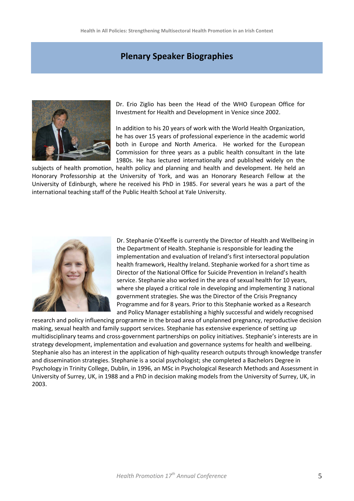### **Plenary Speaker Biographies**



Dr. Erio Ziglio has been the Head of the WHO European Office for Investment for Health and Development in Venice since 2002.

In addition to his 20 years of work with the World Health Organization, he has over 15 years of professional experience in the academic world both in Europe and North America. He worked for the European Commission for three years as a public health consultant in the late 1980s. He has lectured internationally and published widely on the

subjects of health promotion, health policy and planning and health and development. He held an Honorary Professorship at the University of York, and was an Honorary Research Fellow at the University of Edinburgh, where he received his PhD in 1985. For several years he was a part of the international teaching staff of the Public Health School at Yale University.



Dr. Stephanie O'Keeffe is currently the Director of Health and Wellbeing in the Department of Health. Stephanie is responsible for leading the implementation and evaluation of Ireland's first intersectoral population health framework, Healthy Ireland. Stephanie worked for a short time as Director of the National Office for Suicide Prevention in Ireland's health service. Stephanie also worked in the area of sexual health for 10 years, where she played a critical role in developing and implementing 3 national government strategies. She was the Director of the Crisis Pregnancy Programme and for 8 years. Prior to this Stephanie worked as a Research and Policy Manager establishing a highly successful and widely recognised

research and policy influencing programme in the broad area of unplanned pregnancy, reproductive decision making, sexual health and family support services. Stephanie has extensive experience of setting up multidisciplinary teams and cross-government partnerships on policy initiatives. Stephanie's interests are in strategy development, implementation and evaluation and governance systems for health and wellbeing. Stephanie also has an interest in the application of high-quality research outputs through knowledge transfer and dissemination strategies. Stephanie is a social psychologist; she completed a Bachelors Degree in Psychology in Trinity College, Dublin, in 1996, an MSc in Psychological Research Methods and Assessment in University of Surrey, UK, in 1988 and a PhD in decision making models from the University of Surrey, UK, in 2003.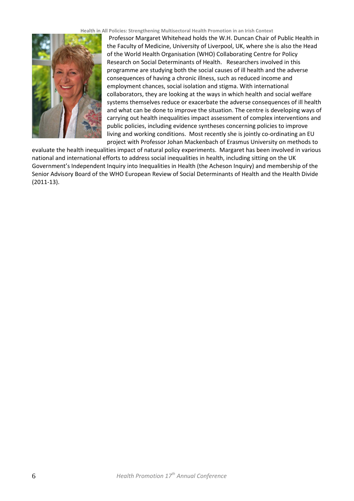**Health in All Policies: Strengthening Multisectoral Health Promotion in an Irish Context**



Professor Margaret Whitehead holds the W.H. Duncan Chair of Public Health in the Faculty of Medicine, University of Liverpool, UK, where she is also the Head of the World Health Organisation (WHO) Collaborating Centre for Policy Research on Social Determinants of Health. Researchers involved in this programme are studying both the social causes of ill health and the adverse consequences of having a chronic illness, such as reduced income and employment chances, social isolation and stigma. With international collaborators, they are looking at the ways in which health and social welfare systems themselves reduce or exacerbate the adverse consequences of ill health and what can be done to improve the situation. The centre is developing ways of carrying out health inequalities impact assessment of complex interventions and public policies, including evidence syntheses concerning policies to improve living and working conditions. Most recently she is jointly co-ordinating an EU project with Professor Johan Mackenbach of Erasmus University on methods to

evaluate the health inequalities impact of natural policy experiments. Margaret has been involved in various national and international efforts to address social inequalities in health, including sitting on the UK Government's Independent Inquiry into Inequalities in Health (the Acheson Inquiry) and membership of the Senior Advisory Board of the WHO European Review of Social Determinants of Health and the Health Divide (2011-13).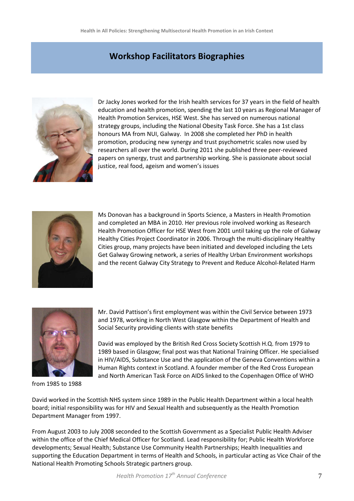### **Workshop Facilitators Biographies**



Dr Jacky Jones worked for the Irish health services for 37 years in the field of health education and health promotion, spending the last 10 years as Regional Manager of Health Promotion Services, HSE West. She has served on numerous national strategy groups, including the National Obesity Task Force. She has a 1st class honours MA from NUI, Galway. In 2008 she completed her PhD in health promotion, producing new synergy and trust psychometric scales now used by researchers all over the world. During 2011 she published three peer-reviewed papers on synergy, trust and partnership working. She is passionate about social justice, real food, ageism and women's issues



Ms Donovan has a background in Sports Science, a Masters in Health Promotion and completed an MBA in 2010. Her previous role involved working as Research Health Promotion Officer for HSE West from 2001 until taking up the role of Galway Healthy Cities Project Coordinator in 2006. Through the multi-disciplinary Healthy Cities group, many projects have been initiated and developed including the Lets Get Galway Growing network, a series of Healthy Urban Environment workshops and the recent Galway City Strategy to Prevent and Reduce Alcohol-Related Harm



from 1985 to 1988

Mr. David Pattison's first employment was within the Civil Service between 1973 and 1978, working in North West Glasgow within the Department of Health and Social Security providing clients with state benefits

David was employed by the British Red Cross Society Scottish H.Q. from 1979 to 1989 based in Glasgow; final post was that National Training Officer. He specialised in HIV/AIDS, Substance Use and the application of the Geneva Conventions within a Human Rights context in Scotland. A founder member of the Red Cross European and North American Task Force on AIDS linked to the Copenhagen Office of WHO

David worked in the Scottish NHS system since 1989 in the Public Health Department within a local health board; initial responsibility was for HIV and Sexual Health and subsequently as the Health Promotion Department Manager from 1997.

From August 2003 to July 2008 seconded to the Scottish Government as a Specialist Public Health Adviser within the office of the Chief Medical Officer for Scotland. Lead responsibility for; Public Health Workforce developments; Sexual Health; Substance Use Community Health Partnerships; Health Inequalities and supporting the Education Department in terms of Health and Schools, in particular acting as Vice Chair of the National Health Promoting Schools Strategic partners group.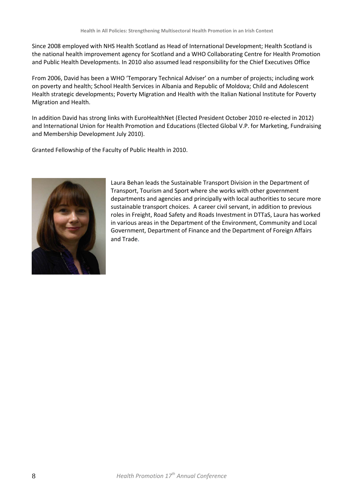Since 2008 employed with NHS Health Scotland as Head of International Development; Health Scotland is the national health improvement agency for Scotland and a WHO Collaborating Centre for Health Promotion and Public Health Developments. In 2010 also assumed lead responsibility for the Chief Executives Office

From 2006, David has been a WHO 'Temporary Technical Adviser' on a number of projects; including work on poverty and health; School Health Services in Albania and Republic of Moldova; Child and Adolescent Health strategic developments; Poverty Migration and Health with the Italian National Institute for Poverty Migration and Health.

In addition David has strong links with EuroHealthNet (Elected President October 2010 re-elected in 2012) and International Union for Health Promotion and Educations (Elected Global V.P. for Marketing, Fundraising and Membership Development July 2010).

Granted Fellowship of the Faculty of Public Health in 2010.



Laura Behan leads the Sustainable Transport Division in the Department of Transport, Tourism and Sport where she works with other government departments and agencies and principally with local authorities to secure more sustainable transport choices. A career civil servant, in addition to previous roles in Freight, Road Safety and Roads Investment in DTTaS, Laura has worked in various areas in the Department of the Environment, Community and Local Government, Department of Finance and the Department of Foreign Affairs and Trade.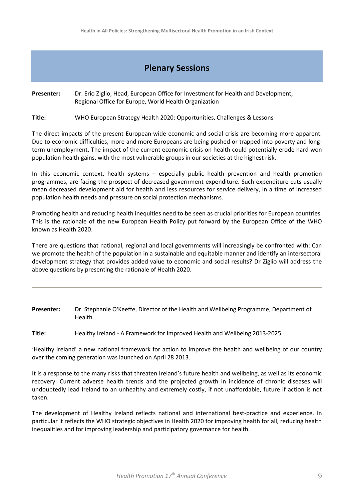### **Plenary Sessions**

**Presenter:** Dr. Erio Ziglio, Head, European Office for Investment for Health and Development, Regional Office for Europe, World Health Organization

**Title:** WHO European Strategy Health 2020: Opportunities, Challenges & Lessons

The direct impacts of the present European-wide economic and social crisis are becoming more apparent. Due to economic difficulties, more and more Europeans are being pushed or trapped into poverty and longterm unemployment. The impact of the current economic crisis on health could potentially erode hard won population health gains, with the most vulnerable groups in our societies at the highest risk.

In this economic context, health systems – especially public health prevention and health promotion programmes, are facing the prospect of decreased government expenditure. Such expenditure cuts usually mean decreased development aid for health and less resources for service delivery, in a time of increased population health needs and pressure on social protection mechanisms.

Promoting health and reducing health inequities need to be seen as crucial priorities for European countries. This is the rationale of the new European Health Policy put forward by the European Office of the WHO known as Health 2020.

There are questions that national, regional and local governments will increasingly be confronted with: Can we promote the health of the population in a sustainable and equitable manner and identify an intersectoral development strategy that provides added value to economic and social results? Dr Ziglio will address the above questions by presenting the rationale of Health 2020.

**Presenter:** Dr. Stephanie O'Keeffe, Director of the Health and Wellbeing Programme, Department of Health

**Title:** Healthy Ireland - A Framework for Improved Health and Wellbeing 2013-2025

'Healthy Ireland' a new national framework for action to improve the health and wellbeing of our country over the coming generation was launched on April 28 2013.

It is a response to the many risks that threaten Ireland's future health and wellbeing, as well as its economic recovery. Current adverse health trends and the projected growth in incidence of chronic diseases will undoubtedly lead Ireland to an unhealthy and extremely costly, if not unaffordable, future if action is not taken.

The development of Healthy Ireland reflects national and international best-practice and experience. In particular it reflects the WHO strategic objectives in Health 2020 for improving health for all, reducing health inequalities and for improving leadership and participatory governance for health.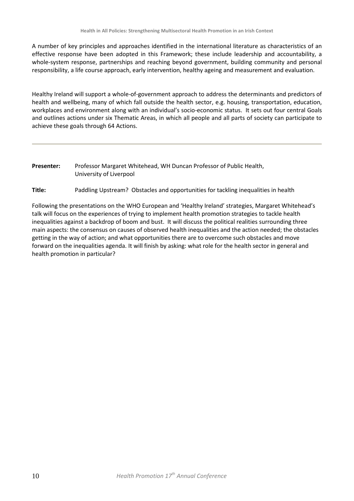A number of key principles and approaches identified in the international literature as characteristics of an effective response have been adopted in this Framework; these include leadership and accountability, a whole-system response, partnerships and reaching beyond government, building community and personal responsibility, a life course approach, early intervention, healthy ageing and measurement and evaluation.

Healthy Ireland will support a whole-of-government approach to address the determinants and predictors of health and wellbeing, many of which fall outside the health sector, e.g. housing, transportation, education, workplaces and environment along with an individual's socio-economic status. It sets out four central Goals and outlines actions under six Thematic Areas, in which all people and all parts of society can participate to achieve these goals through 64 Actions.

**Presenter:** Professor Margaret Whitehead, WH Duncan Professor of Public Health, University of Liverpool

### **Title:** Paddling Upstream? Obstacles and opportunities for tackling inequalities in health

Following the presentations on the WHO European and 'Healthy Ireland' strategies, Margaret Whitehead's talk will focus on the experiences of trying to implement health promotion strategies to tackle health inequalities against a backdrop of boom and bust. It will discuss the political realities surrounding three main aspects: the consensus on causes of observed health inequalities and the action needed; the obstacles getting in the way of action; and what opportunities there are to overcome such obstacles and move forward on the inequalities agenda. It will finish by asking: what role for the health sector in general and health promotion in particular?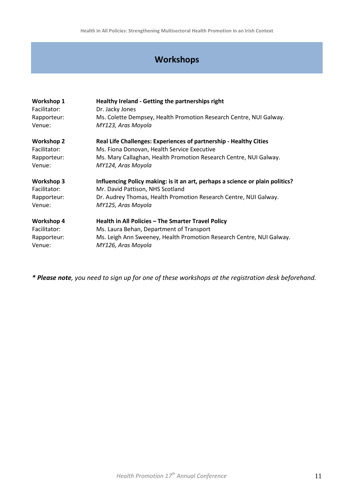### **Workshops**

| <b>Workshop 1</b> | Healthy Ireland - Getting the partnerships right                              |
|-------------------|-------------------------------------------------------------------------------|
| Facilitator:      | Dr. Jacky Jones                                                               |
| Rapporteur:       | Ms. Colette Dempsey, Health Promotion Research Centre, NUI Galway.            |
| Venue:            | MY123, Aras Moyola                                                            |
| <b>Workshop 2</b> | Real Life Challenges: Experiences of partnership - Healthy Cities             |
| Facilitator:      | Ms. Fiona Donovan, Health Service Executive                                   |
| Rapporteur:       | Ms. Mary Callaghan, Health Promotion Research Centre, NUI Galway.             |
| Venue:            | MY124, Aras Moyola                                                            |
| <b>Workshop 3</b> |                                                                               |
|                   | Influencing Policy making: is it an art, perhaps a science or plain politics? |
| Facilitator:      | Mr. David Pattison, NHS Scotland                                              |
| Rapporteur:       | Dr. Audrey Thomas, Health Promotion Research Centre, NUI Galway.              |
| Venue:            | MY125, Aras Moyola                                                            |
| <b>Workshop 4</b> | Health in All Policies - The Smarter Travel Policy                            |
| Facilitator:      | Ms. Laura Behan, Department of Transport                                      |
| Rapporteur:       | Ms. Leigh Ann Sweeney, Health Promotion Research Centre, NUI Galway.          |
| Venue:            | MY126, Aras Moyola                                                            |

*\* Please note, you need to sign up for one of these workshops at the registration desk beforehand.*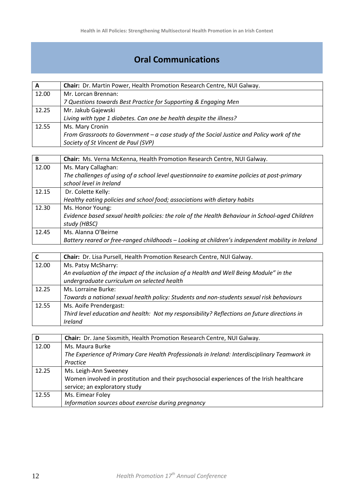### **Oral Communications**

| $\mathbf{A}$ | Chair: Dr. Martin Power, Health Promotion Research Centre, NUI Galway.                    |
|--------------|-------------------------------------------------------------------------------------------|
| 12.00        | Mr. Lorcan Brennan:                                                                       |
|              | 7 Questions towards Best Practice for Supporting & Engaging Men                           |
| 12.25        | Mr. Jakub Gajewski                                                                        |
|              | Living with type 1 diabetes. Can one be health despite the illness?                       |
| 12.55        | Ms. Mary Cronin                                                                           |
|              | From Grassroots to Government – a case study of the Social Justice and Policy work of the |
|              | Society of St Vincent de Paul (SVP)                                                       |
|              |                                                                                           |

| B     | Chair: Ms. Verna McKenna, Health Promotion Research Centre, NUI Galway.                          |
|-------|--------------------------------------------------------------------------------------------------|
| 12.00 | Ms. Mary Callaghan:                                                                              |
|       | The challenges of using of a school level questionnaire to examine policies at post-primary      |
|       | school level in Ireland                                                                          |
| 12.15 | Dr. Colette Kelly:                                                                               |
|       | Healthy eating policies and school food; associations with dietary habits                        |
| 12.30 | Ms. Honor Young:                                                                                 |
|       | Evidence based sexual health policies: the role of the Health Behaviour in School-aged Children  |
|       | study (HBSC)                                                                                     |
| 12.45 | Ms. Alanna O'Beirne                                                                              |
|       | Battery reared or free-ranged childhoods – Looking at children's independent mobility in Ireland |

|       | Chair: Dr. Lisa Pursell, Health Promotion Research Centre, NUI Galway.                       |
|-------|----------------------------------------------------------------------------------------------|
| 12.00 | Ms. Patsy McSharry:                                                                          |
|       | An evaluation of the impact of the inclusion of a Health and Well Being Module" in the       |
|       | undergraduate curriculum on selected health                                                  |
| 12.25 | Ms. Lorraine Burke:                                                                          |
|       | Towards a national sexual health policy: Students and non-students sexual risk behaviours    |
| 12.55 | Ms. Aoife Prendergast:                                                                       |
|       | Third level education and health: Not my responsibility? Reflections on future directions in |
|       | <i><u><b>Ireland</b></u></i>                                                                 |

| D     | Chair: Dr. Jane Sixsmith, Health Promotion Research Centre, NUI Galway.                       |
|-------|-----------------------------------------------------------------------------------------------|
| 12.00 | Ms. Maura Burke                                                                               |
|       | The Experience of Primary Care Health Professionals in Ireland: Interdisciplinary Teamwork in |
|       | Practice                                                                                      |
| 12.25 | Ms. Leigh-Ann Sweeney                                                                         |
|       | Women involved in prostitution and their psychosocial experiences of the Irish healthcare     |
|       | service; an exploratory study                                                                 |
| 12.55 | Ms. Eimear Foley                                                                              |
|       | Information sources about exercise during pregnancy                                           |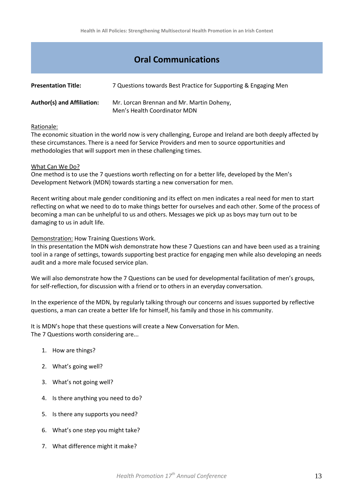### **Oral Communications**

| <b>Presentation Title:</b> | 7 Questions towards Best Practice for Supporting & Engaging Men           |
|----------------------------|---------------------------------------------------------------------------|
| Author(s) and Affiliation: | Mr. Lorcan Brennan and Mr. Martin Doheny,<br>Men's Health Coordinator MDN |

#### Rationale:

The economic situation in the world now is very challenging, Europe and Ireland are both deeply affected by these circumstances. There is a need for Service Providers and men to source opportunities and methodologies that will support men in these challenging times.

#### What Can We Do?

One method is to use the 7 questions worth reflecting on for a better life, developed by the Men's Development Network (MDN) towards starting a new conversation for men.

Recent writing about male gender conditioning and its effect on men indicates a real need for men to start reflecting on what we need to do to make things better for ourselves and each other. Some of the process of becoming a man can be unhelpful to us and others. Messages we pick up as boys may turn out to be damaging to us in adult life.

Demonstration: How Training Questions Work.

In this presentation the MDN wish demonstrate how these 7 Questions can and have been used as a training tool in a range of settings, towards supporting best practice for engaging men while also developing an needs audit and a more male focused service plan.

We will also demonstrate how the 7 Questions can be used for developmental facilitation of men's groups, for self-reflection, for discussion with a friend or to others in an everyday conversation.

In the experience of the MDN, by regularly talking through our concerns and issues supported by reflective questions, a man can create a better life for himself, his family and those in his community.

It is MDN's hope that these questions will create a New Conversation for Men. The 7 Questions worth considering are...

- 1. How are things?
- 2. What's going well?
- 3. What's not going well?
- 4. Is there anything you need to do?
- 5. Is there any supports you need?
- 6. What's one step you might take?
- 7. What difference might it make?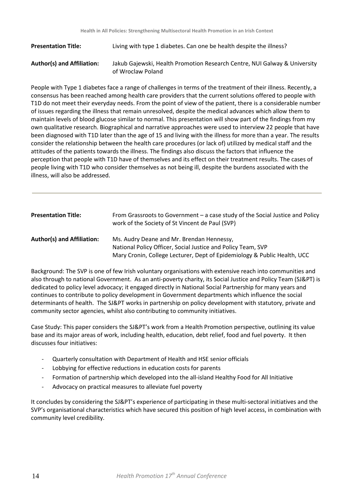| <b>Presentation Title:</b>        | Living with type 1 diabetes. Can one be health despite the illness?                            |
|-----------------------------------|------------------------------------------------------------------------------------------------|
| <b>Author(s) and Affiliation:</b> | Jakub Gajewski, Health Promotion Research Centre, NUI Galway & University<br>of Wroclaw Poland |

People with Type 1 diabetes face a range of challenges in terms of the treatment of their illness. Recently, a consensus has been reached among health care providers that the current solutions offered to people with T1D do not meet their everyday needs. From the point of view of the patient, there is a considerable number of issues regarding the illness that remain unresolved, despite the medical advances which allow them to maintain levels of blood glucose similar to normal. This presentation will show part of the findings from my own qualitative research. Biographical and narrative approaches were used to interview 22 people that have been diagnosed with T1D later than the age of 15 and living with the illness for more than a year. The results consider the relationship between the health care procedures (or lack of) utilized by medical staff and the attitudes of the patients towards the illness. The findings also discuss the factors that influence the perception that people with T1D have of themselves and its effect on their treatment results. The cases of people living with T1D who consider themselves as not being ill, despite the burdens associated with the illness, will also be addressed.

| <b>Presentation Title:</b> | From Grassroots to Government - a case study of the Social Justice and Policy<br>work of the Society of St Vincent de Paul (SVP) |
|----------------------------|----------------------------------------------------------------------------------------------------------------------------------|
| Author(s) and Affiliation: | Ms. Audry Deane and Mr. Brendan Hennessy,                                                                                        |
|                            | National Policy Officer, Social Justice and Policy Team, SVP                                                                     |
|                            | Mary Cronin, College Lecturer, Dept of Epidemiology & Public Health, UCC                                                         |

Background: The SVP is one of few Irish voluntary organisations with extensive reach into communities and also through to national Government. As an anti-poverty charity, its Social Justice and Policy Team (SJ&PT) is dedicated to policy level advocacy; it engaged directly in National Social Partnership for many years and continues to contribute to policy development in Government departments which influence the social determinants of health. The SJ&PT works in partnership on policy development with statutory, private and community sector agencies, whilst also contributing to community initiatives.

Case Study: This paper considers the SJ&PT's work from a Health Promotion perspective, outlining its value base and its major areas of work, including health, education, debt relief, food and fuel poverty. It then discusses four initiatives:

- Quarterly consultation with Department of Health and HSE senior officials
- Lobbying for effective reductions in education costs for parents
- Formation of partnership which developed into the all-island Healthy Food for All Initiative
- Advocacy on practical measures to alleviate fuel poverty

It concludes by considering the SJ&PT's experience of participating in these multi-sectoral initiatives and the SVP's organisational characteristics which have secured this position of high level access, in combination with community level credibility.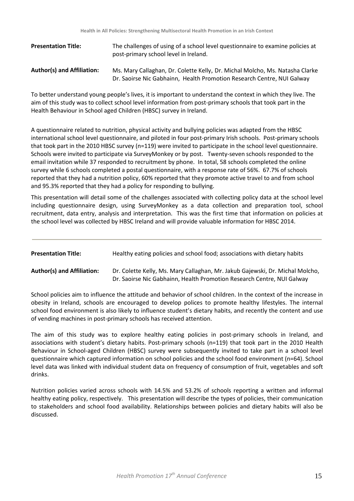| <b>Presentation Title:</b>        | The challenges of using of a school level questionnaire to examine policies at<br>post-primary school level in Ireland.                                |
|-----------------------------------|--------------------------------------------------------------------------------------------------------------------------------------------------------|
| <b>Author(s) and Affiliation:</b> | Ms. Mary Callaghan, Dr. Colette Kelly, Dr. Michal Molcho, Ms. Natasha Clarke<br>Dr. Saoirse Nic Gabhainn, Health Promotion Research Centre, NUI Galway |

To better understand young people's lives, it is important to understand the context in which they live. The aim of this study was to collect school level information from post-primary schools that took part in the Health Behaviour in School aged Children (HBSC) survey in Ireland.

A questionnaire related to nutrition, physical activity and bullying policies was adapted from the HBSC international school level questionnaire, and piloted in four post-primary Irish schools. Post-primary schools that took part in the 2010 HBSC survey (n=119) were invited to participate in the school level questionnaire. Schools were invited to participate via SurveyMonkey or by post. Twenty-seven schools responded to the email invitation while 37 responded to recruitment by phone. In total, 58 schools completed the online survey while 6 schools completed a postal questionnaire, with a response rate of 56%. 67.7% of schools reported that they had a nutrition policy, 60% reported that they promote active travel to and from school and 95.3% reported that they had a policy for responding to bullying.

This presentation will detail some of the challenges associated with collecting policy data at the school level including questionnaire design, using SurveyMonkey as a data collection and preparation tool, school recruitment, data entry, analysis and interpretation. This was the first time that information on policies at the school level was collected by HBSC Ireland and will provide valuable information for HBSC 2014.

| <b>Presentation Title:</b> | Healthy eating policies and school food; associations with dietary habits |
|----------------------------|---------------------------------------------------------------------------|
|----------------------------|---------------------------------------------------------------------------|

**Author(s) and Affiliation:** Dr. Colette Kelly, Ms. Mary Callaghan, Mr. Jakub Gajewski, Dr. Michal Molcho, Dr. Saoirse Nic Gabhainn, Health Promotion Research Centre, NUI Galway

School policies aim to influence the attitude and behavior of school children. In the context of the increase in obesity in Ireland, schools are encouraged to develop polices to promote healthy lifestyles. The internal school food environment is also likely to influence student's dietary habits, and recently the content and use of vending machines in post-primary schools has received attention.

The aim of this study was to explore healthy eating policies in post-primary schools in Ireland, and associations with student's dietary habits. Post-primary schools (n=119) that took part in the 2010 Health Behaviour in School-aged Children (HBSC) survey were subsequently invited to take part in a school level questionnaire which captured information on school policies and the school food environment (n=64). School level data was linked with individual student data on frequency of consumption of fruit, vegetables and soft drinks.

Nutrition policies varied across schools with 14.5% and 53.2% of schools reporting a written and informal healthy eating policy, respectively. This presentation will describe the types of policies, their communication to stakeholders and school food availability. Relationships between policies and dietary habits will also be discussed.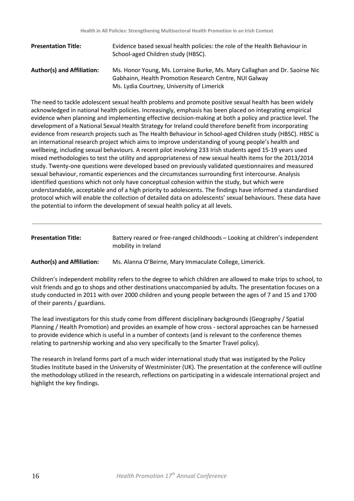| <b>Presentation Title:</b>        | Evidence based sexual health policies: the role of the Health Behaviour in<br>School-aged Children study (HBSC).                                                                    |
|-----------------------------------|-------------------------------------------------------------------------------------------------------------------------------------------------------------------------------------|
| <b>Author(s) and Affiliation:</b> | Ms. Honor Young, Ms. Lorraine Burke, Ms. Mary Callaghan and Dr. Saoirse Nic<br>Gabhainn, Health Promotion Research Centre, NUI Galway<br>Ms. Lydia Courtney, University of Limerick |

The need to tackle adolescent sexual health problems and promote positive sexual health has been widely acknowledged in national health policies. Increasingly, emphasis has been placed on integrating empirical evidence when planning and implementing effective decision-making at both a policy and practice level. The development of a National Sexual Health Strategy for Ireland could therefore benefit from incorporating evidence from research projects such as The Health Behaviour in School-aged Children study (HBSC). HBSC is an international research project which aims to improve understanding of young people's health and wellbeing, including sexual behaviours. A recent pilot involving 233 Irish students aged 15-19 years used mixed methodologies to test the utility and appropriateness of new sexual health items for the 2013/2014 study. Twenty-one questions were developed based on previously validated questionnaires and measured sexual behaviour, romantic experiences and the circumstances surrounding first intercourse. Analysis identified questions which not only have conceptual cohesion within the study, but which were understandable, acceptable and of a high priority to adolescents. The findings have informed a standardised protocol which will enable the collection of detailed data on adolescents' sexual behaviours. These data have the potential to inform the development of sexual health policy at all levels.

| <b>Presentation Title:</b> | Battery reared or free-ranged childhoods – Looking at children's independent |
|----------------------------|------------------------------------------------------------------------------|
|                            | mobility in Ireland                                                          |

### **Author(s) and Affiliation:** Ms. Alanna O'Beirne, Mary Immaculate College, Limerick.

Children's independent mobility refers to the degree to which children are allowed to make trips to school, to visit friends and go to shops and other destinations unaccompanied by adults. The presentation focuses on a study conducted in 2011 with over 2000 children and young people between the ages of 7 and 15 and 1700 of their parents / guardians.

The lead investigators for this study come from different disciplinary backgrounds (Geography / Spatial Planning / Health Promotion) and provides an example of how cross - sectoral approaches can be harnessed to provide evidence which is useful in a number of contexts (and is relevant to the conference themes relating to partnership working and also very specifically to the Smarter Travel policy).

The research in Ireland forms part of a much wider international study that was instigated by the Policy Studies Institute based in the University of Westminister (UK). The presentation at the conference will outline the methodology utilized in the research, reflections on participating in a widescale international project and highlight the key findings.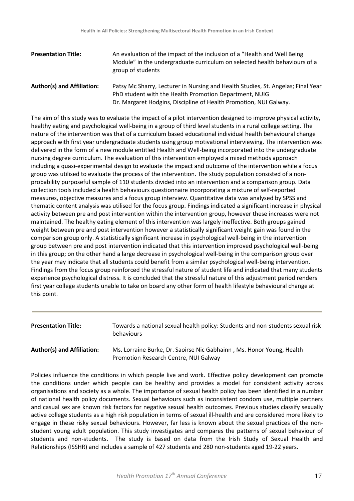| <b>Presentation Title:</b>        | An evaluation of the impact of the inclusion of a "Health and Well Being<br>Module" in the undergraduate curriculum on selected health behaviours of a<br>group of students |
|-----------------------------------|-----------------------------------------------------------------------------------------------------------------------------------------------------------------------------|
| <b>Author(s) and Affiliation:</b> | Patsy Mc Sharry, Lecturer in Nursing and Health Studies, St. Angelas; Final Year<br>PhD student with the Health Promotion Department, NUIG                                  |
|                                   | Dr. Margaret Hodgins, Discipline of Health Promotion, NUI Galway.                                                                                                           |

The aim of this study was to evaluate the impact of a pilot intervention designed to improve physical activity, healthy eating and psychological well-being in a group of third level students in a rural college setting. The nature of the intervention was that of a curriculum based educational individual health behavioural change approach with first year undergraduate students using group motivational interviewing. The intervention was delivered in the form of a new module entitled Health and Well-being incorporated into the undergraduate nursing degree curriculum. The evaluation of this intervention employed a mixed methods approach including a quasi-experimental design to evaluate the impact and outcome of the intervention while a focus group was utilised to evaluate the process of the intervention. The study population consisted of a nonprobability purposeful sample of 110 students divided into an intervention and a comparison group. Data collection tools included a health behaviours questionnaire incorporating a mixture of self-reported measures, objective measures and a focus group interview. Quantitative data was analysed by SPSS and thematic content analysis was utilised for the focus group. Findings indicated a significant increase in physical activity between pre and post intervention within the intervention group, however these increases were not maintained. The healthy eating element of this intervention was largely ineffective. Both groups gained weight between pre and post intervention however a statistically significant weight gain was found in the comparison group only. A statistically significant increase in psychological well-being in the intervention group between pre and post intervention indicated that this intervention improved psychological well-being in this group; on the other hand a large decrease in psychological well-being in the comparison group over the year may indicate that all students could benefit from a similar psychological well-being intervention. Findings from the focus group reinforced the stressful nature of student life and indicated that many students experience psychological distress. It is concluded that the stressful nature of this adjustment period renders first year college students unable to take on board any other form of health lifestyle behavioural change at this point.

| <b>Presentation Title:</b>        | Towards a national sexual health policy: Students and non-students sexual risk<br>behaviours                   |
|-----------------------------------|----------------------------------------------------------------------------------------------------------------|
| <b>Author(s) and Affiliation:</b> | Ms. Lorraine Burke, Dr. Saoirse Nic Gabhainn, Ms. Honor Young, Health<br>Promotion Research Centre, NUI Galway |

Policies influence the conditions in which people live and work. Effective policy development can promote the conditions under which people can be healthy and provides a model for consistent activity across organisations and society as a whole. The importance of sexual health policy has been identified in a number of national health policy documents. Sexual behaviours such as inconsistent condom use, multiple partners and casual sex are known risk factors for negative sexual health outcomes. Previous studies classify sexually active college students as a high risk population in terms of sexual ill-health and are considered more likely to engage in these risky sexual behaviours. However, far less is known about the sexual practices of the nonstudent young adult population. This study investigates and compares the patterns of sexual behaviour of students and non-students. The study is based on data from the Irish Study of Sexual Health and Relationships (ISSHR) and includes a sample of 427 students and 280 non-students aged 19-22 years.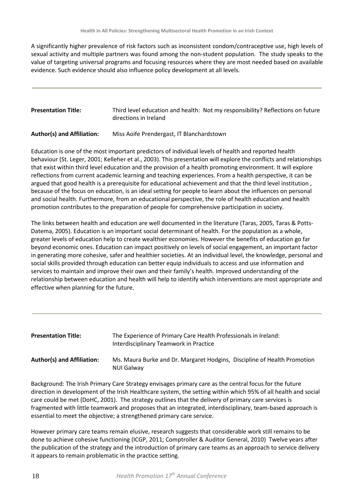A significantly higher prevalence of risk factors such as inconsistent condom/contraceptive use, high levels of sexual activity and multiple partners was found among the non-student population. The study speaks to the value of targeting universal programs and focusing resources where they are most needed based on available evidence. Such evidence should also influence policy development at all levels.

| <b>Presentation Title:</b> | Third level education and health: Not my responsibility? Reflections on future<br>directions in Ireland |
|----------------------------|---------------------------------------------------------------------------------------------------------|
| Author(s) and Affiliation: | Miss Aoife Prendergast, IT Blanchardstown                                                               |

Education is one of the most important predictors of individual levels of health and reported health behaviour (St. Leger, 2001; Kelleher et al., 2003). This presentation will explore the conflicts and relationships that exist within third level education and the provision of a health promoting environment. It will explore reflections from current academic learning and teaching experiences. From a health perspective, it can be argued that good health is a prerequisite for educational achievement and that the third level institution , because of the focus on education, is an ideal setting for people to learn about the influences on personal and social health. Furthermore, from an educational perspective, the role of health education and health promotion contributes to the preparation of people for comprehensive participation in society.

The links between health and education are well documented in the literature (Taras, 2005, Taras & Potts-Datema, 2005). Education is an important social determinant of health. For the population as a whole, greater levels of education help to create wealthier economies. However the benefits of education go far beyond economic ones. Education can impact positively on levels of social engagement, an important factor in generating more cohesive, safer and healthier societies. At an individual level, the knowledge, personal and social skills provided through education can better equip individuals to access and use information and services to maintain and improve their own and their family's health. Improved understanding of the relationship between education and health will help to identify which interventions are most appropriate and effective when planning for the future.

| <b>Presentation Title:</b>        | The Experience of Primary Care Health Professionals in Ireland:<br>Interdisciplinary Teamwork in Practice |
|-----------------------------------|-----------------------------------------------------------------------------------------------------------|
| <b>Author(s) and Affiliation:</b> | Ms. Maura Burke and Dr. Margaret Hodgins, Discipline of Health Promotion<br>NUI Galway                    |

Background: The Irish Primary Care Strategy envisages primary care as the central focus for the future direction in development of the Irish Healthcare system, the setting within which 95% of all health and social care could be met (DoHC, 2001). The strategy outlines that the delivery of primary care services is fragmented with little teamwork and proposes that an integrated, interdisciplinary, team-based approach is essential to meet the objective; a strengthened primary care service.

However primary care teams remain elusive, research suggests that considerable work still remains to be done to achieve cohesive functioning (ICGP, 2011; Comptroller & Auditor General, 2010) Twelve years after the publication of the strategy and the introduction of primary care teams as an approach to service delivery it appears to remain problematic in the practice setting.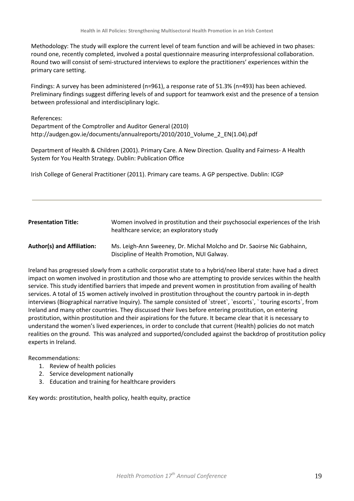Methodology: The study will explore the current level of team function and will be achieved in two phases: round one, recently completed, involved a postal questionnaire measuring interprofessional collaboration. Round two will consist of semi-structured interviews to explore the practitioners' experiences within the primary care setting.

Findings: A survey has been administered (n=961), a response rate of 51.3% (n=493) has been achieved. Preliminary findings suggest differing levels of and support for teamwork exist and the presence of a tension between professional and interdisciplinary logic.

#### References:

Department of the Comptroller and Auditor General (2010) http://audgen.gov.ie/documents/annualreports/2010/2010\_Volume\_2\_EN(1.04).pdf

Department of Health & Children (2001). Primary Care. A New Direction. Quality and Fairness- A Health System for You Health Strategy. Dublin: Publication Office

Irish College of General Practitioner (2011). Primary care teams. A GP perspective. Dublin: ICGP

| <b>Presentation Title:</b>        | Women involved in prostitution and their psychosocial experiences of the Irish<br>healthcare service; an exploratory study |
|-----------------------------------|----------------------------------------------------------------------------------------------------------------------------|
| <b>Author(s) and Affiliation:</b> | Ms. Leigh-Ann Sweeney, Dr. Michal Molcho and Dr. Saoirse Nic Gabhainn,<br>Discipline of Health Promotion, NUI Galway.      |

Ireland has progressed slowly from a catholic corporatist state to a hybrid/neo liberal state: have had a direct impact on women involved in prostitution and those who are attempting to provide services within the health service. This study identified barriers that impede and prevent women in prostitution from availing of health services. A total of 15 women actively involved in prostitution throughout the country partook in in-depth interviews (Biographical narrative Inquiry). The sample consisted of `street`, `escorts`, ` touring escorts`, from Ireland and many other countries. They discussed their lives before entering prostitution, on entering prostitution, within prostitution and their aspirations for the future. It became clear that it is necessary to understand the women's lived experiences, in order to conclude that current (Health) policies do not match realities on the ground. This was analyzed and supported/concluded against the backdrop of prostitution policy experts in Ireland.

Recommendations:

- 1. Review of health policies
- 2. Service development nationally
- 3. Education and training for healthcare providers

Key words: prostitution, health policy, health equity, practice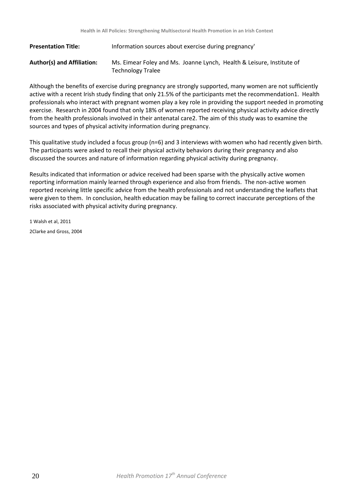| <b>Presentation Title:</b>        | Information sources about exercise during pregnancy'                                              |
|-----------------------------------|---------------------------------------------------------------------------------------------------|
| <b>Author(s) and Affiliation:</b> | Ms. Eimear Foley and Ms. Joanne Lynch, Health & Leisure, Institute of<br><b>Technology Tralee</b> |

Although the benefits of exercise during pregnancy are strongly supported, many women are not sufficiently active with a recent Irish study finding that only 21.5% of the participants met the recommendation1. Health professionals who interact with pregnant women play a key role in providing the support needed in promoting exercise. Research in 2004 found that only 18% of women reported receiving physical activity advice directly from the health professionals involved in their antenatal care2. The aim of this study was to examine the sources and types of physical activity information during pregnancy.

This qualitative study included a focus group (n=6) and 3 interviews with women who had recently given birth. The participants were asked to recall their physical activity behaviors during their pregnancy and also discussed the sources and nature of information regarding physical activity during pregnancy.

Results indicated that information or advice received had been sparse with the physically active women reporting information mainly learned through experience and also from friends. The non-active women reported receiving little specific advice from the health professionals and not understanding the leaflets that were given to them. In conclusion, health education may be failing to correct inaccurate perceptions of the risks associated with physical activity during pregnancy.

1 Walsh et al, 2011 2Clarke and Gross, 2004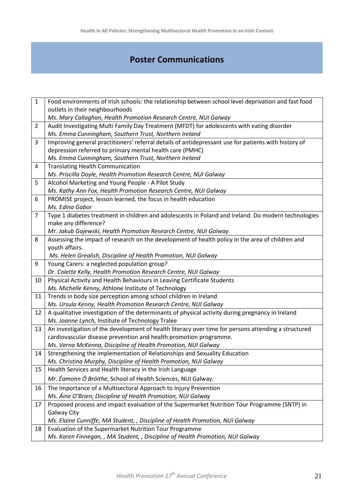### **Poster Communications**

| $\mathbf{1}$   | Food environments of Irish schools: the relationship between school level deprivation and fast food  |
|----------------|------------------------------------------------------------------------------------------------------|
|                | outlets in their neighbourhoods                                                                      |
|                | Ms. Mary Callaghan, Health Promotion Research Centre, NUI Galway                                     |
| $\overline{2}$ | Audit Investigating Multi Family Day Treatment (MFDT) for adolescents with eating disorder           |
|                | Ms. Emma Cunningham, Southern Trust, Northern Ireland                                                |
| 3              | Improving general practitioners' referral details of antidepressant use for patients with history of |
|                | depression referred to primary mental health care (PMHC)                                             |
|                | Ms. Emma Cunningham, Southern Trust, Northern Ireland                                                |
| 4              | <b>Translating Health Communication</b>                                                              |
|                | Ms. Priscilla Doyle, Health Promotion Research Centre, NUI Galway                                    |
| 5              | Alcohol Marketing and Young People - A Pilot Study                                                   |
|                | Ms. Kathy Ann Fox, Health Promotion Research Centre, NUI Galway                                      |
| 6              | PROMISE project, lesson learned, the focus in health education                                       |
|                | Ms. Edina Gabor                                                                                      |
| $\overline{7}$ | Type 1 diabetes treatment in children and adolescents in Poland and Ireland. Do modern technologies  |
|                | make any difference?                                                                                 |
|                | Mr. Jakub Gajewski, Health Promotion Research Centre, NUI Galway                                     |
| 8              | Assessing the impact of research on the development of health policy in the area of children and     |
|                | youth affairs.                                                                                       |
|                | Ms. Helen Grealish, Discipline of Health Promotion, NUI Galway                                       |
| 9              | Young Carers: a neglected population group?                                                          |
|                | Dr. Colette Kelly, Health Promotion Research Centre, NUI Galway                                      |
| 10             | Physical Activity and Health Behaviours in Leaving Certificate Students                              |
|                | Ms. Michelle Kenny, Athlone Institute of Technology                                                  |
| 11             | Trends in body size perception among school children in Ireland                                      |
|                | Ms. Ursula Kenny, Health Promotion Research Centre, NUI Galway                                       |
| 12             | A qualitative investigation of the determinants of physical activity during pregnancy in Ireland     |
|                | Ms. Joanne Lynch, Institute of Technology Tralee                                                     |
| 13             | An investigation of the development of health literacy over time for persons attending a structured  |
|                | cardiovascular disease prevention and health promotion programme.                                    |
|                | Ms. Verna McKenna, Discipline of Health Promotion, NUI Galway                                        |
| 14             | Strengthening the implementation of Relationships and Sexuality Education                            |
|                | Ms. Christina Murphy, Discipline of Health Promotion, NUI Galway                                     |
| 15             | Health Services and Health literacy in the Irish Language                                            |
|                | Mr. Éamonn Ó Bróithe, School of Health Sciences, NUI Galway.                                         |
| 16             | The Importance of a Multisectoral Approach to Injury Prevention                                      |
|                | Ms. Áine O'Brien, Discipline of Health Promotion, NUI Galway                                         |
| 17             | Proposed process and impact evaluation of the Supermarket Nutrition Tour Programme (SNTP) in         |
|                | Galway City                                                                                          |
|                | Ms. Elaine Cunniffe, MA Student, , Discipline of Health Promotion, NUI Galway                        |
| 18             | Evaluation of the Supermarket Nutrition Tour Programme                                               |
|                | Ms. Karen Finnegan, , MA Student, , Discipline of Health Promotion, NUI Galway                       |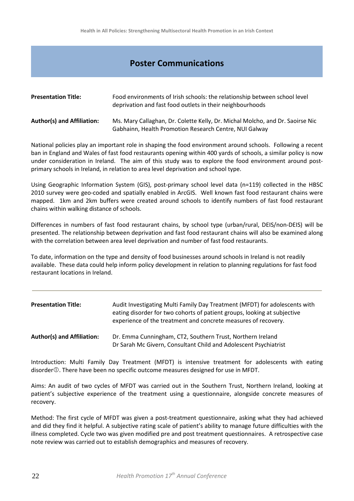### **Poster Communications**

| <b>Presentation Title:</b> | Food environments of Irish schools: the relationship between school level<br>deprivation and fast food outlets in their neighbourhoods  |
|----------------------------|-----------------------------------------------------------------------------------------------------------------------------------------|
| Author(s) and Affiliation: | Ms. Mary Callaghan, Dr. Colette Kelly, Dr. Michal Molcho, and Dr. Saoirse Nic<br>Gabhainn, Health Promotion Research Centre, NUI Galway |

National policies play an important role in shaping the food environment around schools. Following a recent ban in England and Wales of fast food restaurants opening within 400 yards of schools, a similar policy is now under consideration in Ireland. The aim of this study was to explore the food environment around postprimary schools in Ireland, in relation to area level deprivation and school type.

Using Geographic Information System (GIS), post-primary school level data (n=119) collected in the HBSC 2010 survey were geo-coded and spatially enabled in ArcGIS. Well known fast food restaurant chains were mapped. 1km and 2km buffers were created around schools to identify numbers of fast food restaurant chains within walking distance of schools.

Differences in numbers of fast food restaurant chains, by school type (urban/rural, DEIS/non-DEIS) will be presented. The relationship between deprivation and fast food restaurant chains will also be examined along with the correlation between area level deprivation and number of fast food restaurants.

To date, information on the type and density of food businesses around schools in Ireland is not readily available. These data could help inform policy development in relation to planning regulations for fast food restaurant locations in Ireland.

| <b>Presentation Title:</b>        | Audit Investigating Multi Family Day Treatment (MFDT) for adolescents with<br>eating disorder for two cohorts of patient groups, looking at subjective<br>experience of the treatment and concrete measures of recovery. |
|-----------------------------------|--------------------------------------------------------------------------------------------------------------------------------------------------------------------------------------------------------------------------|
| <b>Author(s) and Affiliation:</b> | Dr. Emma Cunningham, CT2, Southern Trust, Northern Ireland<br>Dr Sarah Mc Givern, Consultant Child and Adolescent Psychiatrist                                                                                           |

Introduction: Multi Family Day Treatment (MFDT) is intensive treatment for adolescents with eating disorder<sup>1</sup>. There have been no specific outcome measures designed for use in MFDT.

Aims: An audit of two cycles of MFDT was carried out in the Southern Trust, Northern Ireland, looking at patient's subjective experience of the treatment using a questionnaire, alongside concrete measures of recovery.

Method: The first cycle of MFDT was given a post-treatment questionnaire, asking what they had achieved and did they find it helpful. A subjective rating scale of patient's ability to manage future difficulties with the illness completed. Cycle two was given modified pre and post treatment questionnaires. A retrospective case note review was carried out to establish demographics and measures of recovery.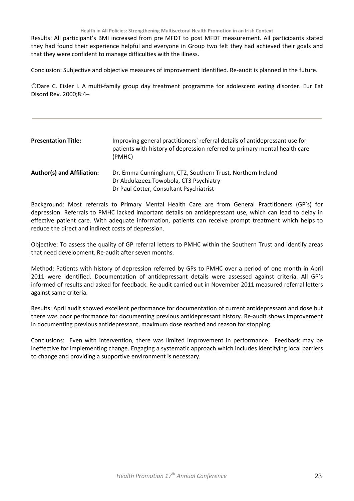Results: All participant's BMI increased from pre MFDT to post MFDT measurement. All participants stated they had found their experience helpful and everyone in Group two felt they had achieved their goals and that they were confident to manage difficulties with the illness.

Conclusion: Subjective and objective measures of improvement identified. Re-audit is planned in the future.

Dare C. Eisler I. A multi-family group day treatment programme for adolescent eating disorder. Eur Eat Disord Rev. 2000;8:4–

| <b>Presentation Title:</b>        | Improving general practitioners' referral details of antidepressant use for<br>patients with history of depression referred to primary mental health care<br>(PMHC) |
|-----------------------------------|---------------------------------------------------------------------------------------------------------------------------------------------------------------------|
| <b>Author(s) and Affiliation:</b> | Dr. Emma Cunningham, CT2, Southern Trust, Northern Ireland<br>Dr Abdulazeez Towobola, CT3 Psychiatry                                                                |
|                                   | Dr Paul Cotter, Consultant Psychiatrist                                                                                                                             |

Background: Most referrals to Primary Mental Health Care are from General Practitioners (GP's) for depression. Referrals to PMHC lacked important details on antidepressant use, which can lead to delay in effective patient care. With adequate information, patients can receive prompt treatment which helps to reduce the direct and indirect costs of depression.

Objective: To assess the quality of GP referral letters to PMHC within the Southern Trust and identify areas that need development. Re-audit after seven months.

Method: Patients with history of depression referred by GPs to PMHC over a period of one month in April 2011 were identified. Documentation of antidepressant details were assessed against criteria. All GP's informed of results and asked for feedback. Re-audit carried out in November 2011 measured referral letters against same criteria.

Results: April audit showed excellent performance for documentation of current antidepressant and dose but there was poor performance for documenting previous antidepressant history. Re-audit shows improvement in documenting previous antidepressant, maximum dose reached and reason for stopping.

Conclusions: Even with intervention, there was limited improvement in performance. Feedback may be ineffective for implementing change. Engaging a systematic approach which includes identifying local barriers to change and providing a supportive environment is necessary.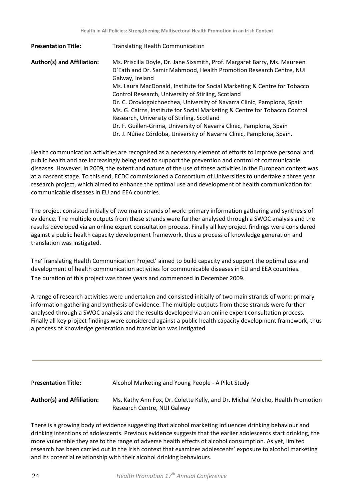| <b>Presentation Title:</b>        | <b>Translating Health Communication</b>                                                                                                                             |
|-----------------------------------|---------------------------------------------------------------------------------------------------------------------------------------------------------------------|
| <b>Author(s) and Affiliation:</b> | Ms. Priscilla Doyle, Dr. Jane Sixsmith, Prof. Margaret Barry, Ms. Maureen<br>D'Eath and Dr. Samir Mahmood, Health Promotion Research Centre, NUI<br>Galway, Ireland |
|                                   | Ms. Laura MacDonald, Institute for Social Marketing & Centre for Tobacco                                                                                            |
|                                   | Control Research, University of Stirling, Scotland                                                                                                                  |
|                                   | Dr. C. Oroviogoichoechea, University of Navarra Clinic, Pamplona, Spain                                                                                             |
|                                   | Ms. G. Cairns, Institute for Social Marketing & Centre for Tobacco Control                                                                                          |
|                                   | Research, University of Stirling, Scotland                                                                                                                          |
|                                   | Dr. F. Guillen-Grima, University of Navarra Clinic, Pamplona, Spain                                                                                                 |
|                                   | Dr. J. Núñez Córdoba, University of Navarra Clinic, Pamplona, Spain.                                                                                                |

Health communication activities are recognised as a necessary element of efforts to improve personal and public health and are increasingly being used to support the prevention and control of communicable diseases. However, in 2009, the extent and nature of the use of these activities in the European context was at a nascent stage. To this end, ECDC commissioned a Consortium of Universities to undertake a three year research project, which aimed to enhance the optimal use and development of health communication for communicable diseases in EU and EEA countries.

The project consisted initially of two main strands of work: primary information gathering and synthesis of evidence. The multiple outputs from these strands were further analysed through a SWOC analysis and the results developed via an online expert consultation process. Finally all key project findings were considered against a public health capacity development framework, thus a process of knowledge generation and translation was instigated.

The'Translating Health Communication Project' aimed to build capacity and support the optimal use and development of health communication activities for communicable diseases in EU and EEA countries. The duration of this project was three years and commenced in December 2009.

A range of research activities were undertaken and consisted initially of two main strands of work: primary information gathering and synthesis of evidence. The multiple outputs from these strands were further analysed through a SWOC analysis and the results developed via an online expert consultation process. Finally all key project findings were considered against a public health capacity development framework, thus a process of knowledge generation and translation was instigated.

P**resentation Title:** Alcohol Marketing and Young People - A Pilot Study

**Author(s) and Affiliation:** Ms. Kathy Ann Fox, Dr. Colette Kelly, and Dr. Michal Molcho, Health Promotion Research Centre, NUI Galway

There is a growing body of evidence suggesting that alcohol marketing influences drinking behaviour and drinking intentions of adolescents. Previous evidence suggests that the earlier adolescents start drinking, the more vulnerable they are to the range of adverse health effects of alcohol consumption. As yet, limited research has been carried out in the Irish context that examines adolescents' exposure to alcohol marketing and its potential relationship with their alcohol drinking behaviours.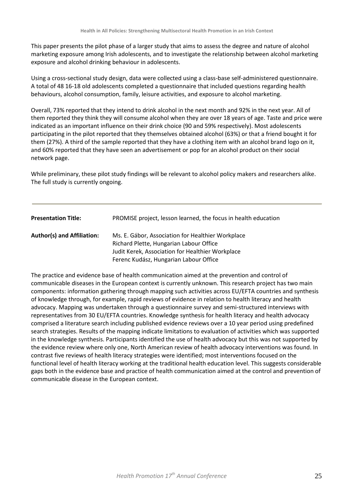This paper presents the pilot phase of a larger study that aims to assess the degree and nature of alcohol marketing exposure among Irish adolescents, and to investigate the relationship between alcohol marketing exposure and alcohol drinking behaviour in adolescents.

Using a cross-sectional study design, data were collected using a class-base self-administered questionnaire. A total of 48 16-18 old adolescents completed a questionnaire that included questions regarding health behaviours, alcohol consumption, family, leisure activities, and exposure to alcohol marketing.

Overall, 73% reported that they intend to drink alcohol in the next month and 92% in the next year. All of them reported they think they will consume alcohol when they are over 18 years of age. Taste and price were indicated as an important influence on their drink choice (90 and 59% respectively). Most adolescents participating in the pilot reported that they themselves obtained alcohol (63%) or that a friend bought it for them (27%). A third of the sample reported that they have a clothing item with an alcohol brand logo on it, and 60% reported that they have seen an advertisement or pop for an alcohol product on their social network page.

While preliminary, these pilot study findings will be relevant to alcohol policy makers and researchers alike. The full study is currently ongoing.

| <b>Presentation Title:</b> | PROMISE project, lesson learned, the focus in health education                                                                                                                             |
|----------------------------|--------------------------------------------------------------------------------------------------------------------------------------------------------------------------------------------|
| Author(s) and Affiliation: | Ms. E. Gábor, Association for Healthier Workplace<br>Richard Plette, Hungarian Labour Office<br>Judit Kerek, Association for Healthier Workplace<br>Ferenc Kudász, Hungarian Labour Office |

The practice and evidence base of health communication aimed at the prevention and control of communicable diseases in the European context is currently unknown. This research project has two main components: information gathering through mapping such activities across EU/EFTA countries and synthesis of knowledge through, for example, rapid reviews of evidence in relation to health literacy and health advocacy. Mapping was undertaken through a questionnaire survey and semi-structured interviews with representatives from 30 EU/EFTA countries. Knowledge synthesis for health literacy and health advocacy comprised a literature search including published evidence reviews over a 10 year period using predefined search strategies. Results of the mapping indicate limitations to evaluation of activities which was supported in the knowledge synthesis. Participants identified the use of health advocacy but this was not supported by the evidence review where only one, North American review of health advocacy interventions was found. In contrast five reviews of health literacy strategies were identified; most interventions focused on the functional level of health literacy working at the traditional health education level. This suggests considerable gaps both in the evidence base and practice of health communication aimed at the control and prevention of communicable disease in the European context.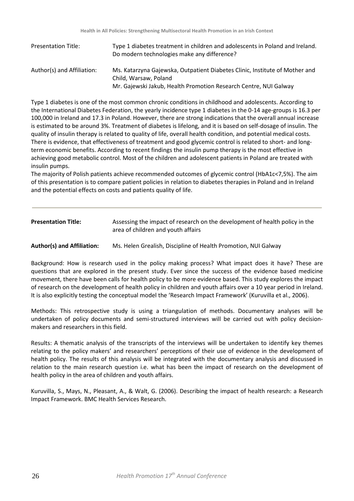| <b>Presentation Title:</b> | Type 1 diabetes treatment in children and adolescents in Poland and Ireland.<br>Do modern technologies make any difference? |
|----------------------------|-----------------------------------------------------------------------------------------------------------------------------|
| Author(s) and Affiliation: | Ms. Katarzyna Gajewska, Outpatient Diabetes Clinic, Institute of Mother and<br>Child, Warsaw, Poland                        |
|                            | Mr. Gajewski Jakub, Health Promotion Research Centre, NUI Galway                                                            |

Type 1 diabetes is one of the most common chronic conditions in childhood and adolescents. According to the International Diabetes Federation, the yearly incidence type 1 diabetes in the 0-14 age-groups is 16.3 per 100,000 in Ireland and 17.3 in Poland. However, there are strong indications that the overall annual increase is estimated to be around 3%. Treatment of diabetes is lifelong, and it is based on self-dosage of insulin. The quality of insulin therapy is related to quality of life, overall health condition, and potential medical costs. There is evidence, that effectiveness of treatment and good glycemic control is related to short- and longterm economic benefits. According to recent findings the insulin pump therapy is the most effective in achieving good metabolic control. Most of the children and adolescent patients in Poland are treated with insulin pumps.

The majority of Polish patients achieve recommended outcomes of glycemic control (HbA1c<7,5%). The aim of this presentation is to compare patient policies in relation to diabetes therapies in Poland and in Ireland and the potential effects on costs and patients quality of life.

| <b>Presentation Title:</b>        | Assessing the impact of research on the development of health policy in the<br>area of children and youth affairs |
|-----------------------------------|-------------------------------------------------------------------------------------------------------------------|
| <b>Author(s) and Affiliation:</b> | Ms. Helen Grealish, Discipline of Health Promotion, NUI Galway                                                    |

Background: How is research used in the policy making process? What impact does it have? These are questions that are explored in the present study. Ever since the success of the evidence based medicine movement, there have been calls for health policy to be more evidence based. This study explores the impact of research on the development of health policy in children and youth affairs over a 10 year period in Ireland. It is also explicitly testing the conceptual model the 'Research Impact Framework' (Kuruvilla et al., 2006).

Methods: This retrospective study is using a triangulation of methods. Documentary analyses will be undertaken of policy documents and semi-structured interviews will be carried out with policy decisionmakers and researchers in this field.

Results: A thematic analysis of the transcripts of the interviews will be undertaken to identify key themes relating to the policy makers' and researchers' perceptions of their use of evidence in the development of health policy. The results of this analysis will be integrated with the documentary analysis and discussed in relation to the main research question i.e. what has been the impact of research on the development of health policy in the area of children and youth affairs.

Kuruvilla, S., Mays, N., Pleasant, A., & Walt, G. (2006). Describing the impact of health research: a Research Impact Framework. BMC Health Services Research.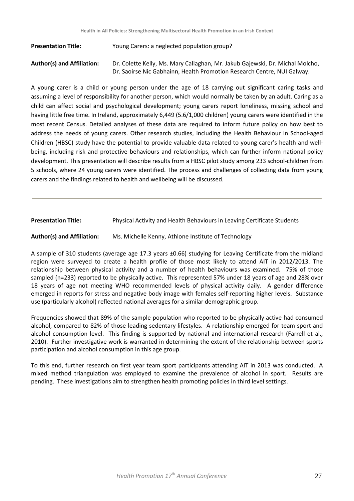# **Presentation Title:** Young Carers: a neglected population group?

### **Author(s) and Affiliation:** Dr. Colette Kelly, Ms. Mary Callaghan, Mr. Jakub Gajewski, Dr. Michal Molcho, Dr. Saoirse Nic Gabhainn, Health Promotion Research Centre, NUI Galway.

A young carer is a child or young person under the age of 18 carrying out significant caring tasks and assuming a level of responsibility for another person, which would normally be taken by an adult. Caring as a child can affect social and psychological development; young carers report loneliness, missing school and having little free time. In Ireland, approximately 6,449 (5.6/1,000 children) young carers were identified in the most recent Census. Detailed analyses of these data are required to inform future policy on how best to address the needs of young carers. Other research studies, including the Health Behaviour in School-aged Children (HBSC) study have the potential to provide valuable data related to young carer's health and wellbeing, including risk and protective behaviours and relationships, which can further inform national policy development. This presentation will describe results from a HBSC pilot study among 233 school-children from 5 schools, where 24 young carers were identified. The process and challenges of collecting data from young carers and the findings related to health and wellbeing will be discussed.

**Presentation Title:** Physical Activity and Health Behaviours in Leaving Certificate Students

#### **Author(s) and Affiliation:** Ms. Michelle Kenny, Athlone Institute of Technology

A sample of 310 students (average age 17.3 years ±0.66) studying for Leaving Certificate from the midland region were surveyed to create a health profile of those most likely to attend AIT in 2012/2013. The relationship between physical activity and a number of health behaviours was examined. 75% of those sampled (n=233) reported to be physically active. This represented 57% under 18 years of age and 28% over 18 years of age not meeting WHO recommended levels of physical activity daily. A gender difference emerged in reports for stress and negative body image with females self-reporting higher levels. Substance use (particularly alcohol) reflected national averages for a similar demographic group.

Frequencies showed that 89% of the sample population who reported to be physically active had consumed alcohol, compared to 82% of those leading sedentary lifestyles. A relationship emerged for team sport and alcohol consumption level. This finding is supported by national and international research (Farrell et al., 2010). Further investigative work is warranted in determining the extent of the relationship between sports participation and alcohol consumption in this age group.

To this end, further research on first year team sport participants attending AIT in 2013 was conducted. A mixed method triangulation was employed to examine the prevalence of alcohol in sport. Results are pending. These investigations aim to strengthen health promoting policies in third level settings.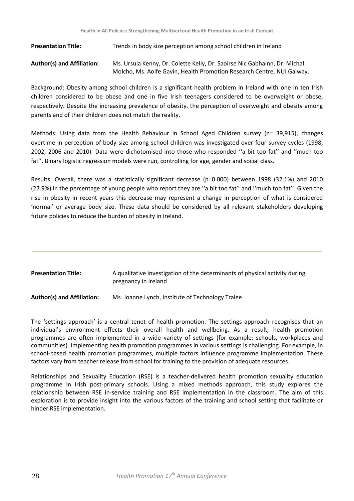**Presentation Title:** Trends in body size perception among school children in Ireland **Author(s) and Affiliation:** Ms. Ursula Kenny, Dr. Colette Kelly, Dr. Saoirse Nic Gabhainn, Dr. Michal Molcho, Ms. Aoife Gavin, Health Promotion Research Centre, NUI Galway.

Background: Obesity among school children is a significant health problem in Ireland with one in ten Irish children considered to be obese and one in five Irish teenagers considered to be overweight or obese, respectively. Despite the increasing prevalence of obesity, the perception of overweight and obesity among parents and of their children does not match the reality.

Methods: Using data from the Health Behaviour in School Aged Children survey (n= 39,915), changes overtime in perception of body size among school children was investigated over four survey cycles (1998, 2002, 2006 and 2010). Data were dichotomised into those who responded ''a bit too fat'' and ''much too fat''. Binary logistic regression models were run, controlling for age, gender and social class.

Results: Overall, there was a statistically significant decrease (p=0.000) between 1998 (32.1%) and 2010 (27.9%) in the percentage of young people who report they are ''a bit too fat'' and ''much too fat''. Given the rise in obesity in recent years this decrease may represent a change in perception of what is considered 'normal' or average body size. These data should be considered by all relevant stakeholders developing future policies to reduce the burden of obesity in Ireland.

| <b>Presentation Title:</b>        | A qualitative investigation of the determinants of physical activity during<br>pregnancy in Ireland |
|-----------------------------------|-----------------------------------------------------------------------------------------------------|
| <b>Author(s) and Affiliation:</b> | Ms. Joanne Lynch, Institute of Technology Tralee                                                    |

The 'settings approach' is a central tenet of health promotion. The settings approach recognises that an individual's environment effects their overall health and wellbeing. As a result, health promotion programmes are often implemented in a wide variety of settings (for example: schools, workplaces and communities). Implementing health promotion programmes in various settings is challenging. For example, in school-based health promotion programmes, multiple factors influence programme implementation. These factors vary from teacher release from school for training to the provision of adequate resources.

Relationships and Sexuality Education (RSE) is a teacher-delivered health promotion sexuality education programme in Irish post-primary schools. Using a mixed methods approach, this study explores the relationship between RSE in-service training and RSE implementation in the classroom. The aim of this exploration is to provide insight into the various factors of the training and school setting that facilitate or hinder RSE implementation.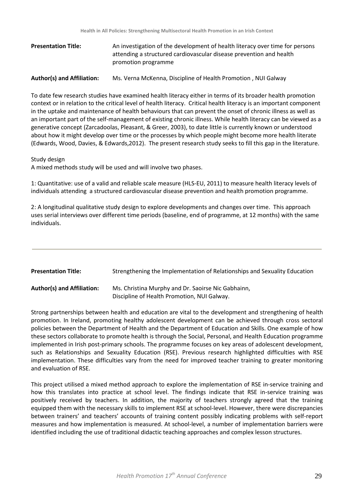| <b>Presentation Title:</b> | An investigation of the development of health literacy over time for persons |
|----------------------------|------------------------------------------------------------------------------|
|                            | attending a structured cardiovascular disease prevention and health          |
|                            | promotion programme                                                          |

#### **Author(s) and Affiliation:** Ms. Verna McKenna, Discipline of Health Promotion , NUI Galway

To date few research studies have examined health literacy either in terms of its broader health promotion context or in relation to the critical level of health literacy. Critical health literacy is an important component in the uptake and maintenance of health behaviours that can prevent the onset of chronic illness as well as an important part of the self-management of existing chronic illness. While health literacy can be viewed as a generative concept (Zarcadoolas, Pleasant, & Greer, 2003), to date little is currently known or understood about how it might develop over time or the processes by which people might become more health literate (Edwards, Wood, Davies, & Edwards,2012). The present research study seeks to fill this gap in the literature.

Study design

A mixed methods study will be used and will involve two phases.

1: Quantitative: use of a valid and reliable scale measure (HLS-EU, 2011) to measure health literacy levels of individuals attending a structured cardiovascular disease prevention and health promotion programme.

2: A longitudinal qualitative study design to explore developments and changes over time. This approach uses serial interviews over different time periods (baseline, end of programme, at 12 months) with the same individuals.

| <b>Presentation Title:</b> | Strengthening the Implementation of Relationships and Sexuality Education                         |
|----------------------------|---------------------------------------------------------------------------------------------------|
| Author(s) and Affiliation: | Ms. Christina Murphy and Dr. Saoirse Nic Gabhainn,<br>Discipline of Health Promotion, NUI Galway. |

Strong partnerships between health and education are vital to the development and strengthening of health promotion. In Ireland, promoting healthy adolescent development can be achieved through cross sectoral policies between the Department of Health and the Department of Education and Skills. One example of how these sectors collaborate to promote health is through the Social, Personal, and Health Education programme implemented in Irish post-primary schools. The programme focuses on key areas of adolescent development, such as Relationships and Sexuality Education (RSE). Previous research highlighted difficulties with RSE implementation. These difficulties vary from the need for improved teacher training to greater monitoring and evaluation of RSE.

This project utilised a mixed method approach to explore the implementation of RSE in-service training and how this translates into practice at school level. The findings indicate that RSE in-service training was positively received by teachers. In addition, the majority of teachers strongly agreed that the training equipped them with the necessary skills to implement RSE at school-level. However, there were discrepancies between trainers' and teachers' accounts of training content possibly indicating problems with self-report measures and how implementation is measured. At school-level, a number of implementation barriers were identified including the use of traditional didactic teaching approaches and complex lesson structures.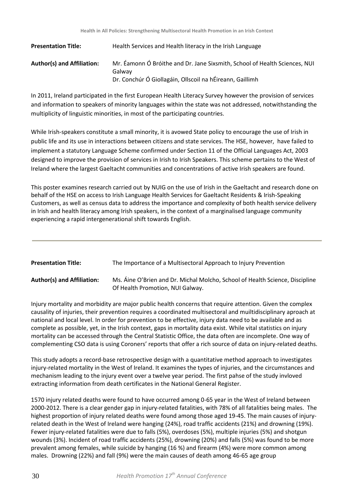| <b>Presentation Title:</b>        | Health Services and Health literacy in the Irish Language                            |
|-----------------------------------|--------------------------------------------------------------------------------------|
| <b>Author(s) and Affiliation:</b> | Mr. Éamonn Ó Bróithe and Dr. Jane Sixsmith, School of Health Sciences, NUI<br>Galway |
|                                   | Dr. Conchúr Ó Giollagáin, Ollscoil na hÉireann, Gaillimh                             |

In 2011, Ireland participated in the first European Health Literacy Survey however the provision of services and information to speakers of minority languages within the state was not addressed, notwithstanding the multiplicity of linguistic minorities, in most of the participating countries.

While Irish-speakers constitute a small minority, it is avowed State policy to encourage the use of Irish in public life and its use in interactions between citizens and state services. The HSE, however, have failed to implement a statutory Language Scheme confirmed under Section 11 of the Official Languages Act, 2003 designed to improve the provision of services in Irish to Irish Speakers. This scheme pertains to the West of Ireland where the largest Gaeltacht communities and concentrations of active Irish speakers are found.

This poster examines research carried out by NUIG on the use of Irish in the Gaeltacht and research done on behalf of the HSE on access to Irish Language Health Services for Gaeltacht Residents & Irish-Speaking Customers, as well as census data to address the importance and complexity of both health service delivery in Irish and health literacy among Irish speakers, in the context of a marginalised language community experiencing a rapid intergenerational shift towards English.

| <b>Presentation Title:</b>        | The Importance of a Multisectoral Approach to Injury Prevention                                                  |
|-----------------------------------|------------------------------------------------------------------------------------------------------------------|
| <b>Author(s) and Affiliation:</b> | Ms. Aine O'Brien and Dr. Michal Molcho, School of Health Science, Discipline<br>Of Health Promotion, NUI Galway. |

Injury mortality and morbidity are major public health concerns that require attention. Given the complex causality of injuries, their prevention requires a coordinated multisectoral and muiltidisciplinary aproach at national and local level. In order for prevention to be effective, injury data need to be available and as complete as possible, yet, in the Irish context, gaps in mortality data exist. While vital statistics on injury mortality can be accessed through the Central Statistic Office, the data often are incomplete. One way of complementing CSO data is using Coroners' reports that offer a rich source of data on injury-related deaths.

This study adopts a record-base retrospective design with a quantitative method approach to investigates injury-related mortality in the West of Ireland. It examines the types of injuries, and the circumstances and mechanism leading to the injury event over a twelve year period. The first pahse of the study invloved extracting information from death certificates in the National General Register.

1570 injury related deaths were found to have occurred among 0-65 year in the West of Ireland between 2000-2012. There is a clear gender gap in injury-related fatalities, with 78% of all fatalities being males. The highest proportion of injury related deaths were found among those aged 19-45. The main causes of injuryrelated death in the West of Ireland were hanging (24%), road traffic accidents (21%) and drowning (19%). Fewer injury-related fatalities were due to falls (5%), overdoses (5%), multiple injuries (5%) and shotgun wounds (3%). Incident of road traffic accidents (25%), drowning (20%) and falls (5%) was found to be more prevalent among females, while suicide by hanging (16 %) and firearm (4%) were more common among males. Drowning (22%) and fall (9%) were the main causes of death among 46-65 age group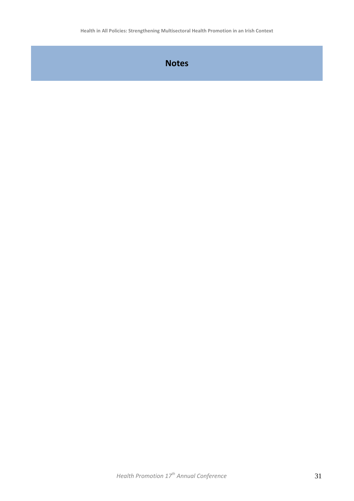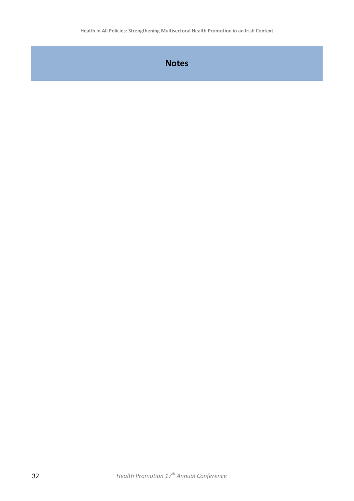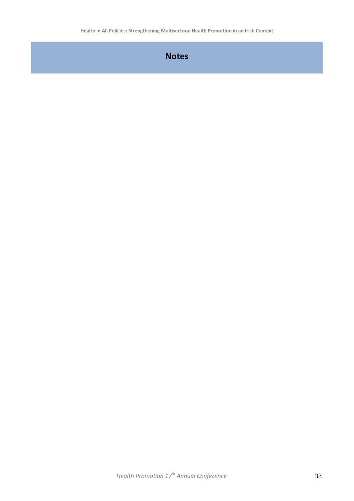